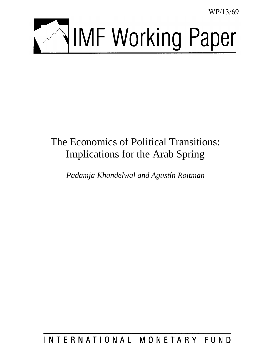WP/13/69



# The Economics of Political Transitions: Implications for the Arab Spring

*Padamja Khandelwal and Agustín Roitman* 

INTERNATIONAL MONETARY FUND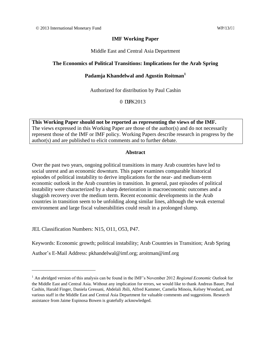#### **IMF Working Paper**

#### Middle East and Central Asia Department

#### **The Economics of Political Transitions: Implications for the Arab Spring**

### **Padamja Khandelwal and Agustín Roitman<sup>1</sup>**

Authorized for distribution by Paul Cashin

Octej  $2013$ 

**This Working Paper should not be reported as representing the views of the IMF.** The views expressed in this Working Paper are those of the author(s) and do not necessarily represent those of the IMF or IMF policy. Working Papers describe research in progress by the author(s) and are published to elicit comments and to further debate.

#### **Abstract**

Over the past two years, ongoing political transitions in many Arab countries have led to social unrest and an economic downturn. This paper examines comparable historical episodes of political instability to derive implications for the near- and medium-term economic outlook in the Arab countries in transition. In general, past episodes of political instability were characterized by a sharp deterioration in macroeconomic outcomes and a sluggish recovery over the medium term. Recent economic developments in the Arab countries in transition seem to be unfolding along similar lines, although the weak external environment and large fiscal vulnerabilities could result in a prolonged slump.

JEL Classification Numbers: N15, O11, O53, P47.

 $\overline{a}$ 

Keywords: Economic growth; political instability; Arab Countries in Transition; Arab Spring

Author's E-Mail Address: pkhandelwal@imf.org; aroitman@imf.org

<sup>&</sup>lt;sup>1</sup> An abridged version of this analysis can be found in the IMF's November 2012 *Regional Economic Outlook* for the Middle East and Central Asia. Without any implication for errors, we would like to thank Andreas Bauer, Paul Cashin, Harald Finger, Daniela Gressani, Abdelali Jbili, Alfred Kammer, Camelia Minoiu, Kelsey Woodard, and various staff in the Middle East and Central Asia Department for valuable comments and suggestions. Research assistance from Jaime Espinosa Bowen is gratefully acknowledged.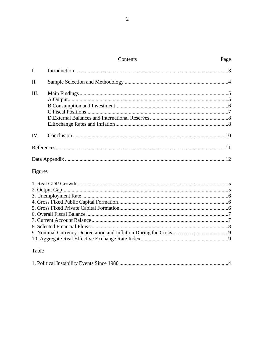## Contents

| II.  |  |
|------|--|
| III. |  |
|      |  |
|      |  |
|      |  |
|      |  |
|      |  |
| IV.  |  |
|      |  |
|      |  |
|      |  |

## Figures

## Table

|--|--|--|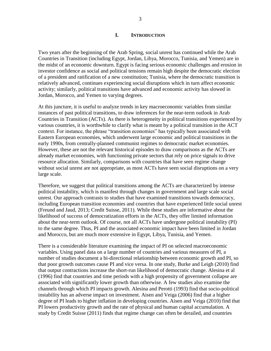#### **I. INTRODUCTION**

Two years after the beginning of the Arab Spring, social unrest has continued while the Arab Countries in Transition (including Egypt, Jordan, Libya, Morocco, Tunisia, and Yemen) are in the midst of an economic downturn. Egypt is facing serious economic challenges and erosion in investor confidence as social and political tensions remain high despite the democratic election of a president and ratification of a new constitution; Tunisia, where the democratic transition is relatively advanced, continues experiencing social disruptions which in turn affect economic activity; similarly, political transitions have advanced and economic activity has slowed in Jordan, Morocco, and Yemen to varying degrees.

At this juncture, it is useful to analyze trends in key macroeconomic variables from similar instances of past political transitions, to draw inferences for the near-term outlook in Arab Countries in Transition (ACTs). As there is heterogeneity in political transitions experienced by various countries, it is worthwhile to clarify what is meant by a political transition in the ACT context. For instance, the phrase "transition economies" has typically been associated with Eastern European economies, which underwent large economic and political transitions in the early 1990s, from centrally-planned communist regimes to democratic market economies. However, these are not the relevant historical episodes to draw comparisons as the ACTs are already market economies, with functioning private sectors that rely on price signals to drive resource allocation. Similarly, comparisons with countries that have seen regime change without social unrest are not appropriate, as most ACTs have seen social disruptions on a very large scale.

Therefore, we suggest that political transitions among the ACTs are characterized by intense political instability, which is manifest through changes in government and large scale social unrest. Our approach contrasts to studies that have examined transitions towards democracy, including European transition economies and countries that have experienced little social unrest (Freund and Jaud, 2013; Credit Suisse, 2011). While these studies are informative about the likelihood of success of democratization efforts in the ACTs, they offer limited information about the near-term outlook. Of course, not all ACTs have undergone political instability (PI) to the same degree. Thus, PI and the associated economic impact have been limited in Jordan and Morocco, but are much more extensive in Egypt, Libya, Tunisia, and Yemen.

There is a considerable literature examining the impact of PI on selected macroeconomic variables. Using panel data on a large number of countries and various measures of PI, a number of studies document a bi-directional relationship between economic growth and PI, so that poor growth outcomes cause PI and vice versa. In one study, Burke and Leigh (2010) find that output contractions increase the short-run likelihood of democratic change. Alesina et al (1996) find that countries and time periods with a high propensity of government collapse are associated with significantly lower growth than otherwise. A few studies also examine the channels through which PI impacts growth. Alesina and Perotti (1993) find that socio-political instability has an adverse impact on investment. Aisen and Veiga (2006) find that a higher degree of PI leads to higher inflation in developing countries. Aisen and Veiga (2010) find that PI lowers productivity growth and the rate of physical and human capital accumulation. A study by Credit Suisse (2011) finds that regime change can often be derailed, and countries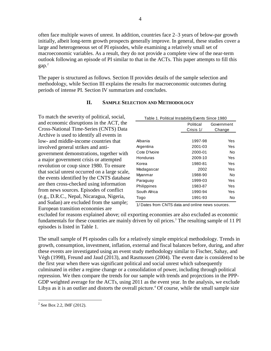often face multiple waves of unrest. In addition, countries face 2–3 years of below-par growth initially, albeit long-term growth prospects generally improve. In general, these studies cover a large and heterogeneous set of PI episodes, while examining a relatively small set of macroeconomic variables. As a result, they do not provide a complete view of the near-term outlook following an episode of PI similar to that in the ACTs. This paper attempts to fill this gap.<sup>2</sup>

The paper is structured as follows. Section II provides details of the sample selection and methodology, while Section III explains the results for macroeconomic outcomes during periods of intense PI. Section IV summarizes and concludes.

#### **II. SAMPLE SELECTION AND METHODOLOGY**

To match the severity of political, social, and economic disruptions in the ACT, the Cross-National Time-Series (CNTS) Data Archive is used to identify all events in low- and middle-income countries that involved general strikes and antigovernment demonstrations, together with a major government crisis or attempted revolution or coup since 1980. To ensure that social unrest occurred on a large scale, the events identified by the CNTS database are then cross-checked using information from news sources. Episodes of conflict (e.g., D.R.C., Nepal, Nicaragua, Nigeria, and Sudan) are excluded from the sample; European transition economies are

| Table 1. Political Instability Events Since 1980 |           |            |  |  |  |
|--------------------------------------------------|-----------|------------|--|--|--|
|                                                  | Political | Government |  |  |  |
|                                                  | Crisis 1/ | Change     |  |  |  |
|                                                  |           |            |  |  |  |
| Albania                                          | 1997-98   | Yes        |  |  |  |
| Argentina                                        | 2001-03   | Yes        |  |  |  |
| Cote D'Ivoire                                    | 2000-01   | No         |  |  |  |
| Honduras                                         | 2009-10   | Yes        |  |  |  |
| Korea                                            | 1980-81   | Yes        |  |  |  |
| Madagascar                                       | 2002      | Yes        |  |  |  |
| Myanmar                                          | 1988-90   | No         |  |  |  |
| Paraguay                                         | 1999-03   | Yes        |  |  |  |
| Philippines                                      | 1983-87   | Yes        |  |  |  |
| South Africa                                     | 1990-94   | Yes        |  |  |  |
| Togo                                             | 1991-93   | No         |  |  |  |

1/ Dates from CNTS data and online news sources.

excluded for reasons explained above; oil exporting economies are also excluded as economic fundamentals for these countries are mainly driven by oil prices.<sup>3</sup> The resulting sample of 11 PI episodes is listed in Table 1.

The small sample of PI episodes calls for a relatively simple empirical methodology. Trends in growth, consumption, investment, inflation, external and fiscal balances before, during, and after these events are investigated using an event study methodology similar to Fischer, Sahay, and Végh (1998), Freund and Jaud (2013), and Rasmussen (2004). The event date is considered to be the first year when there was significant political and social unrest which subsequently culminated in either a regime change or a consolidation of power, including through political repression. We then compare the trends for our sample with trends and projections in the PPP-GDP weighted average for the ACTs, using 2011 as the event year. In the analysis, we exclude Libya as it is an outlier and distorts the overall picture.<sup>4</sup> Of course, while the small sample size

 $\overline{a}$ 

 $2^{2}$  See Box 2.2, IMF (2012).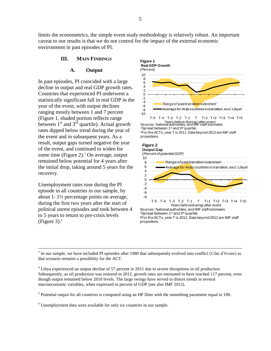limits the econometrics, the simple event study methodology is relatively robust. An important caveat to our results is that we do not control for the impact of the external economic environment in past episodes of PI.

#### **III. MAIN FINDINGS**

#### **A. Output**

In past episodes, PI coincided with a large decline in output and real GDP growth rates. Countries that experienced PI underwent a statistically significant fall in real GDP in the year of the event, with output declines ranging mostly between 1 and 7 percent (Figure 1, shaded portion reflects range between  $1<sup>st</sup>$  and  $3<sup>rd</sup>$  quartile). Actual growth rates dipped below trend during the year of the event and in subsequent years. As a result, output gaps turned negative the year of the event, and continued to widen for some time (Figure 2).<sup>5</sup> On average, output remained below potential for 4 years after the initial drop, taking around 5 years for the recovery.

Unemployment rates rose during the PI episode in all countries in our sample, by about 1–1½ percentage points on average, during the first two years after the start of political unrest episodes and took between 4 to 5 years to return to pre-crisis levels (Figure 3). 6

 $\overline{a}$ 





 $3$  In our sample, we have included PI episodes after 1980 that subsequently evolved into conflict (Côte d'Ivoire) as that scenario remains a possibility for the ACT.

<sup>4</sup> Libya experienced an output decline of 57 percent in 2011 due to severe disruptions in oil production. Subsequently, as oil production was restored in 2012, growth rates are estimated to have reached 117 percent, even though output remained below 2010 levels. The large swings have served to distort trends in several macroeconomic variables, when expressed in percent of GDP (see also IMF 2012).

 $<sup>5</sup>$  Potential output for all countries is computed using an HP filter with the smoothing parameter equal to 100.</sup>

<sup>6</sup> Unemployment data were available for only six countries in our sample.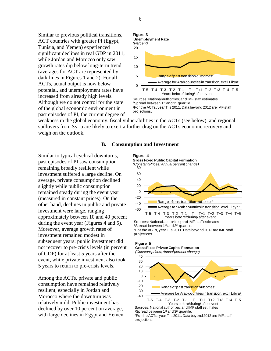Similar to previous political transitions, ACT countries with greater PI (Egypt, Tunisia, and Yemen) experienced significant declines in real GDP in 2011, while Jordan and Morocco only saw growth rates dip below long-term trend (averages for ACT are represented by dark lines in Figures 1 and 2). For all ACTs, actual output is now below potential, and unemployment rates have increased from already high levels. Although we do not control for the state of the global economic environment in past episodes of PI, the current degree of

#### 0 5 10 15 20 T-5 T-4 T-3 T-2 T-1 T T+1 T+2 T+3 T+4 T+5 Range of past transition outcomes<sup>1</sup> Average for Arab countries in transition, excl. Libya² Years before/during/ after event **Figure 3 Unemployment Rate** *(Percent)* Sources: National authorities; and IMF staff estimates 1Spread between 1st and 3rd quartile. ²For the ACTs, year T is 2011. Data beyond 2012 are IMF staff

weakness in the global economy, fiscal vulnerabilities in the ACTs (see below), and regional spillovers from Syria are likely to exert a further drag on the ACTs economic recovery and weigh on the outlook.

projections.

#### **B. Consumption and Investment**

Similar to typical cyclical downturns, past episodes of PI saw consumption remaining broadly resilient while investment suffered a large decline. On average, private consumption declined slightly while public consumption remained steady during the event year (measured in constant prices). On the other hand, declines in public and private investment were large, ranging approximately between 10 and 40 percent during the event year (Figures 4 and 5). Moreover, average growth rates of investment remained modest in subsequent years: public investment did not recover to pre-crisis levels (in percent of GDP) for at least 5 years after the event, while private investment also took 5 years to return to pre-crisis levels.

Among the ACTs, private and public consumption have remained relatively resilient, especially in Jordan and Morocco where the downturn was relatively mild. Public investment has declined by over 10 percent on average, with large declines in Egypt and Yemen



Sources: National authorities; and IMF staff estimates<br>1Spread between 1<sup>st</sup> and 3<sup>rd</sup> quartile. ²For the ACTs, year T is 2011. Data beyond 2012 are IMF staff projections.

#### **Figure 5**

-40 -30 -20 -10 0 10 20 30 40 T-5 T-4 T-3 T-2 T-1 T T+1 T+2 T+3 T+4 T+5 Range of past transition outcomes<sup>1</sup> Average for Arab countries in transition, excl. Libya² Years before/during/ after event **Gross Fixed Private Capital Formation** *(Constant prices; Annual percent change)*

Sources: National authorities; and IMF staff estimates<br>1Spread between 1st and 3<sup>rd</sup> quartile. ²For the ACTs, year T is 2011. Data beyond 2012 are IMF staff

projections.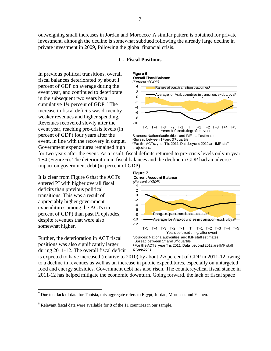outweighing small increases in Jordan and Morocco.<sup>7</sup> A similar pattern is obtained for private investment, although the decline is somewhat subdued following the already large decline in private investment in 2009, following the global financial crisis.

#### **C. Fiscal Positions**

In previous political transitions, overall fiscal balances deteriorated by about 1 percent of GDP on average during the event year, and continued to deteriorate in the subsequent two years by a cumulative 1¾ percent of GDP. <sup>8</sup> The increase in fiscal deficits was driven by weaker revenues and higher spending. Revenues recovered slowly after the event year, reaching pre-crisis levels (in percent of GDP) four years after the event, in line with the recovery in output. Government expenditures remained high



for two years after the event. As a result, fiscal deficits returned to pre-crisis levels only in year T+4 (Figure 6). The deterioration in fiscal balances and the decline in GDP had an adverse impact on government debt (in percent of GDP).

It is clear from Figure 6 that the ACTs entered PI with higher overall fiscal deficits than previous political transitions. This was a result of appreciably higher government expenditures among the ACTs (in percent of GDP) than past PI episodes, despite revenues that were also somewhat higher.

Further, the deterioration in ACT fiscal positions was also significantly larger during 2011-12. The overall fiscal deficit

 $\overline{a}$ 



is expected to have increased (relative to 2010) by about 2½ percent of GDP in 2011-12 owing to a decline in revenues as well as an increase in public expenditures, especially on untargeted food and energy subsidies. Government debt has also risen. The countercyclical fiscal stance in 2011-12 has helped mitigate the economic downturn. Going forward, the lack of fiscal space

 $7$  Due to a lack of data for Tunisia, this aggregate refers to Egypt, Jordan, Morocco, and Yemen.

<sup>&</sup>lt;sup>8</sup> Relevant fiscal data were available for 8 of the 11 countries in our sample.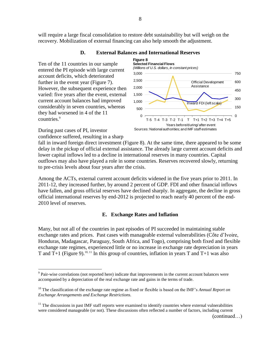will require a large fiscal consolidation to restore debt sustainability but will weigh on the recovery. Mobilization of external financing can also help smooth the adjustment.

#### **D. External Balances and International Reserves**

Ten of the 11 countries in our sample entered the PI episode with large current account deficits, which deteriorated further in the event year (Figure 7). However, the subsequent experience then varied: five years after the event, external current account balances had improved considerably in seven countries, whereas they had worsened in 4 of the 11 countries.<sup>9</sup>



During past cases of PI, investor confidence suffered, resulting in a sharp

 $\overline{a}$ 

fall in inward foreign direct investment (Figure 8). At the same time, there appeared to be some delay in the pickup of official external assistance. The already large current account deficits and lower capital inflows led to a decline in international reserves in many countries. Capital outflows may also have played a role in some countries. Reserves recovered slowly, returning to pre-crisis levels about four years after the crisis.

Among the ACTs, external current account deficits widened in the five years prior to 2011. In 2011-12, they increased further, by around 2 percent of GDP. FDI and other financial inflows have fallen, and gross official reserves have declined sharply. In aggregate, the decline in gross official international reserves by end-2012 is projected to reach nearly 40 percent of the end-2010 level of reserves.

#### **E. Exchange Rates and Inflation**

Many, but not all of the countries in past episodes of PI succeeded in maintaining stable exchange rates and prices. Past cases with manageable external vulnerabilities (Côte d'Ivoire, Honduras, Madagascar, Paraguay, South Africa, and Togo), comprising both fixed and flexible exchange rate regimes, experienced little or no increase in exchange rate depreciation in years T and T+1 (Figure 9).<sup>10, 11</sup> In this group of countries, inflation in years T and T+1 was also

<sup>&</sup>lt;sup>9</sup> Pair-wise correlations (not reported here) indicate that improvements in the current account balances were accompanied by a depreciation of the real exchange rate and gains in the terms of trade.

<sup>10</sup> The classification of the exchange rate regime as fixed or flexible is based on the IMF's *Annual Report on Exchange Arrangements and Exchange Restrictions.*

 $11$  The discussions in past IMF staff reports were examined to identify countries where external vulnerabilities were considered manageable (or not). These discussions often reflected a number of factors, including current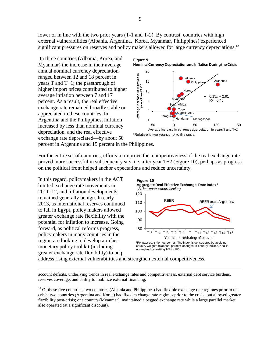lower or in line with the two prior years (T-1 and T-2). By contrast, countries with high external vulnerabilities (Albania, Argentina, Korea, Myanmar, Philippines) experienced significant pressures on reserves and policy makers allowed for large currency depreciations.<sup>12</sup>

In three countries (Albania, Korea, and Myanmar) the increase in their average annual nominal currency depreciation ranged between 12 and 18 percent in years T and T+1; the passthrough of higher import prices contributed to higher average inflation between 7 and 17 percent. As a result, the real effective exchange rate remained broadly stable or appreciated in these countries. In Argentina and the Philippines, inflation increased by less than nominal currency depreciation, and the real effective exchange rate depreciated—by about 50



percent in Argentina and 15 percent in the Philippines.

For the entire set of countries, efforts to improve the competitiveness of the real exchange rate proved more successful in subsequent years, i.e. after year T+2 (Figure 10), perhaps as progress on the political front helped anchor expectations and reduce uncertainty.

In this regard, policymakers in the ACT limited exchange rate movements in 2011–12, and inflation developments remained generally benign. In early 2013, as international reserves continued to fall in Egypt, policy makers allowed greater exchange rate flexibility with the potential for inflation to increase. Going forward, as political reforms progress, policymakers in many countries in the region are looking to develop a richer monetary policy tool kit (including greater exchange rate flexibility) to help

 $\overline{a}$ 

80 90 100 110 120 T-5 T-4 T-3 T-2 T-1 T T+1 T+2 T+3 T+4 T+5 Years before/during/ after event **Figure 10 Aggregate Real Effective Exchange Rate Index <sup>1</sup>** *(An increase = appreciation)* REER REER excl. Argentina <sup>1</sup>For past transition outcomes. The index is constructed by applying country weights to annual percent changes in country indices, and is normalized by setting T-5 to 100.

address rising external vulnerabilities and strengthen external competitiveness.

account deficits, underlying trends in real exchange rates and competitiveness, external debt service burdens, reserves coverage, and ability to mobilize external financing.

 $12$  Of these five countries, two countries (Albania and Philippines) had flexible exchange rate regimes prior to the crisis; two countries (Argentina and Korea) had fixed exchange rate regimes prior to the crisis, but allowed greater flexibility post-crisis; one country (Myanmar) maintained a pegged exchange rate while a large parallel market also operated (at a significant discount).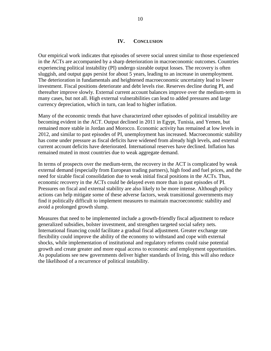#### **IV. CONCLUSION**

Our empirical work indicates that episodes of severe social unrest similar to those experienced in the ACTs are accompanied by a sharp deterioration in macroeconomic outcomes. Countries experiencing political instability (PI) undergo sizeable output losses. The recovery is often sluggish, and output gaps persist for about 5 years, leading to an increase in unemployment. The deterioration in fundamentals and heightened macroeconomic uncertainty lead to lower investment. Fiscal positions deteriorate and debt levels rise. Reserves decline during PI, and thereafter improve slowly. External current account balances improve over the medium-term in many cases, but not all. High external vulnerabilities can lead to added pressures and large currency depreciation, which in turn, can lead to higher inflation.

Many of the economic trends that have characterized other episodes of political instability are becoming evident in the ACT. Output declined in 2011 in Egypt, Tunisia, and Yemen, but remained more stable in Jordan and Morocco. Economic activity has remained at low levels in 2012, and similar to past episodes of PI, unemployment has increased. Macroeconomic stability has come under pressure as fiscal deficits have widened from already high levels, and external current account deficits have deteriorated. International reserves have declined. Inflation has remained muted in most countries due to weak aggregate demand.

In terms of prospects over the medium-term, the recovery in the ACT is complicated by weak external demand (especially from European trading partners), high food and fuel prices, and the need for sizable fiscal consolidation due to weak initial fiscal positions in the ACTs. Thus, economic recovery in the ACTs could be delayed even more than in past episodes of PI. Pressures on fiscal and external stability are also likely to be more intense. Although policy actions can help mitigate some of these adverse factors, weak transitional governments may find it politically difficult to implement measures to maintain macroeconomic stability and avoid a prolonged growth slump.

Measures that need to be implemented include a growth-friendly fiscal adjustment to reduce generalized subsidies, bolster investment, and strengthen targeted social safety nets. International financing could facilitate a gradual fiscal adjustment. Greater exchange rate flexibility could improve the ability of the economy to withstand and cope with external shocks, while implementation of institutional and regulatory reforms could raise potential growth and create greater and more equal access to economic and employment opportunities. As populations see new governments deliver higher standards of living, this will also reduce the likelihood of a recurrence of political instability.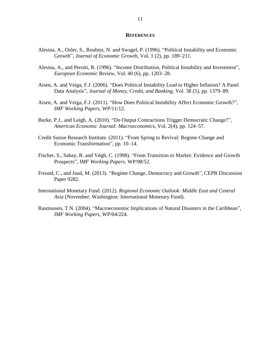#### **REFERENCES**

- Alesina, A., Ozler, S., Roubini, N. and Swagel, P. (1996). "Political Instability and Economic Growth", *Journal of Economic Growth*, Vol. 1 (2), pp. 189-211.
- Alesina, A., and Perotti, R. (1996). "Income Distribution, Political Instability and Investment", *European Economic Review,* Vol. 40 (6), pp. 1203–28.
- Aisen, A. and Veiga, F.J. (2006). "Does Political Instability Lead to Higher Inflation? A Panel Data Analysis", *Journal of Money, Credit, and Banking*, Vol. 38 (5), pp. 1379–89.
- Aisen, A. and Veiga, F.J. (2011). "How Does Political Instability Affect Economic Growth?", *IMF Working Papers*, WP/11/12.
- Burke, P.J., and Leigh, A. (2010). "Do Output Contractions Trigger Democratic Change?", *American Economic Journal: Macroeconomics,* Vol. 2(4), pp. 124–57.
- Credit Suisse Research Institute. (2011). "From Spring to Revival: Regime Change and Economic Transformation", pp. 10–14.
- Fischer, S., Sahay, R. and Végh, C. (1998). "From Transition to Market: Evidence and Growth Prospects‖, *IMF Working Papers*, WP/98/52.
- Freund, C., and Jaud, M. (2013). "Regime Change, Democracy and Growth", CEPR Discussion Paper 9282.
- International Monetary Fund. (2012). *Regional Economic Outlook: Middle East and Central Asia* (November; Washington: International Monetary Fund).
- Rasmussen, T.N. (2004). "Macroeconomic Implications of Natural Disasters in the Caribbean", *IMF Working Papers*, WP/04/224.